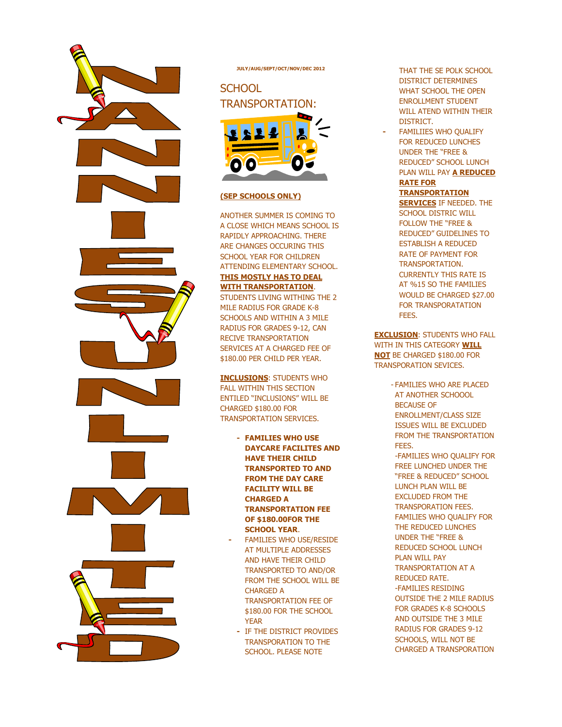

**JULY/AUG/SEPT/OCT/NOV/DEC 2012** 

## **SCHOOL** TRANSPORTATION:



#### **(SEP SCHOOLS ONLY)**

ANOTHER SUMMER IS COMING TO A CLOSE WHICH MEANS SCHOOL IS RAPIDLY APPROACHING. THERE ARE CHANGES OCCURING THIS SCHOOL YEAR FOR CHILDREN ATTENDING ELEMENTARY SCHOOL. **THIS MOSTLY HAS TO DEAL WITH TRANSPORTATION**. STUDENTS LIVING WITHING THE 2 MILE RADIUS FOR GRADE K-8 SCHOOLS AND WITHIN A 3 MILE RADIUS FOR GRADES 9-12, CAN RECIVE TRANSPORTATION SERVICES AT A CHARGED FEE OF \$180.00 PER CHILD PER YEAR.

**INCLUSIONS**: STUDENTS WHO FALL WITHIN THIS SECTION ENTILED "INCLUSIONS" WILL BE CHARGED \$180.00 FOR TRANSPORTATION SERVICES.

- **- FAMILIES WHO USE DAYCARE FACILITES AND HAVE THEIR CHILD TRANSPORTED TO AND FROM THE DAY CARE FACILITY WILL BE CHARGED A TRANSPORTATION FEE OF \$180.00FOR THE SCHOOL YEAR**.
- **-** FAMILIES WHO USE/RESIDE AT MULTIPLE ADDRESSES AND HAVE THEIR CHILD TRANSPORTED TO AND/OR FROM THE SCHOOL WILL BE CHARGED A TRANSPORTATION FEE OF \$180.00 FOR THE SCHOOL YEAR
- **-** IF THE DISTRICT PROVIDES TRANSPORATION TO THE SCHOOL. PLEASE NOTE

THAT THE SE POLK SCHOOL DISTRICT DETERMINES WHAT SCHOOL THE OPEN ENROLLMENT STUDENT WILL ATEND WITHIN THEIR DISTRICT.

**-** FAMILIIES WHO QUALIFY FOR REDUCED LUNCHES UNDER THE "FREE & REDUCED" SCHOOL LUNCH PLAN WILL PAY **A REDUCED RATE FOR TRANSPORTATION** 

**SERVICES** IF NEEDED. THE SCHOOL DISTRIC WILL FOLLOW THE "FREE & REDUCED" GUIDELINES TO ESTABLISH A REDUCED RATE OF PAYMENT FOR TRANSPORTATION. CURRENTLY THIS RATE IS AT %15 SO THE FAMILIES WOULD BE CHARGED \$27.00 FOR TRANSPORATATION FEES.

**EXCLUSION**: STUDENTS WHO FALL WITH IN THIS CATEGORY **WILL NOT** BE CHARGED \$180.00 FOR TRANSPORATION SEVICES.

> - FAMILIES WHO ARE PLACED AT ANOTHER SCHOOOL BECAUSE OF ENROLLMENT/CLASS SIZE ISSUES WILL BE EXCLUDED FROM THE TRANSPORTATION FEES. -FAMILIES WHO QUALIFY FOR FREE LUNCHED UNDER THE "FREE & REDUCED" SCHOOL LUNCH PLAN WILL BE EXCLUDED FROM THE TRANSPORATION FEES. FAMILIES WHO QUALIFY FOR THE REDUCED LUNCHES UNDER THE "FREE & REDUCED SCHOOL LUNCH PLAN WILL PAY TRANSPORTATION AT A REDUCED RATE. -FAMILIES RESIDING OUTSIDE THE 2 MILE RADIUS FOR GRADES K-8 SCHOOLS AND OUTSIDE THE 3 MILE RADIUS FOR GRADES 9-12 SCHOOLS, WILL NOT BE CHARGED A TRANSPORATION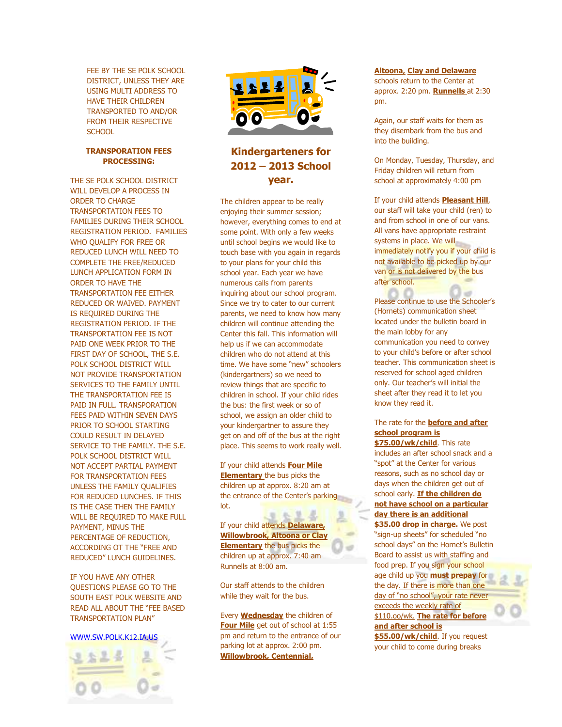FEE BY THE SE POLK SCHOOL DISTRICT, UNLESS THEY ARE USING MULTI ADDRESS TO HAVE THEIR CHILDREN TRANSPORTED TO AND/OR FROM THEIR RESPECTIVE **SCHOOL** 

### **TRANSPORATION FEES PROCESSING:**

THE SE POLK SCHOOL DISTRICT WILL DEVELOP A PROCESS IN ORDER TO CHARGE TRANSPORTATION FEES TO FAMILIES DURING THEIR SCHOOL REGISTRATION PERIOD. FAMILIES WHO QUALIFY FOR FREE OR REDUCED LUNCH WILL NEED TO COMPLETE THE FREE/REDUCED LUNCH APPLICATION FORM IN ORDER TO HAVE THE TRANSPORTATION FEE EITHER REDUCED OR WAIVED. PAYMENT IS REQUIRED DURING THE REGISTRATION PERIOD. IF THE TRANSPORTATION FEE IS NOT PAID ONE WEEK PRIOR TO THE FIRST DAY OF SCHOOL, THE S.E. POLK SCHOOL DISTRICT WILL NOT PROVIDE TRANSPORTATION SERVICES TO THE FAMILY UNTIL THE TRANSPORTATION FEE IS PAID IN FULL. TRANSPORATION FEES PAID WITHIN SEVEN DAYS PRIOR TO SCHOOL STARTING COULD RESULT IN DELAYED SERVICE TO THE FAMILY. THE S.E. POLK SCHOOL DISTRICT WILL NOT ACCEPT PARTIAL PAYMENT FOR TRANSPORTATION FEES UNLESS THE FAMILY QUALIFIES FOR REDUCED LUNCHES. IF THIS IS THE CASE THEN THE FAMILY WILL BE REQUIRED TO MAKE FULL PAYMENT, MINUS THE PERCENTAGE OF REDUCTION, ACCORDING OT THE "FREE AND REDUCED" LUNCH GUIDELINES.

IF YOU HAVE ANY OTHER QUESTIONS PLEASE GO TO THE SOUTH EAST POLK WEBSITE AND READ ALL ABOUT THE "FEE BASED TRANSPORTATION PLAN"

#### WWW.SW.POLK.K12.IA.US





## **Kindergarteners for 2012 – 2013 School year.**

The children appear to be really enjoying their summer session; however, everything comes to end at some point. With only a few weeks until school begins we would like to touch base with you again in regards to your plans for your child this school year. Each year we have numerous calls from parents inquiring about our school program. Since we try to cater to our current parents, we need to know how many children will continue attending the Center this fall. This information will help us if we can accommodate children who do not attend at this time. We have some "new" schoolers (kindergartners) so we need to review things that are specific to children in school. If your child rides the bus: the first week or so of school, we assign an older child to your kindergartner to assure they get on and off of the bus at the right place. This seems to work really well.

If your child attends **Four Mile Elementary** the bus picks the children up at approx. 8:20 am at the entrance of the Center's parking lot.

If your child attends **Delaware, Willowbrook, Altoona or Clay Elementary** the bus picks the children up at approx. 7:40 am Runnells at 8:00 am.

Our staff attends to the children while they wait for the bus.

Every **Wednesday** the children of **Four Mile** get out of school at 1:55 pm and return to the entrance of our parking lot at approx. 2:00 pm. **Willowbrook, Centennial,** 

#### **Altoona, Clay and Delaware**

schools return to the Center at approx. 2:20 pm. **Runnells** at 2:30 pm.

Again, our staff waits for them as they disembark from the bus and into the building.

On Monday, Tuesday, Thursday, and Friday children will return from school at approximately 4:00 pm

If your child attends **Pleasant Hill**, our staff will take your child (ren) to and from school in one of our vans. All vans have appropriate restraint systems in place. We will immediately notify you if your child is not available to be picked up by our van or is not delivered by the bus after school.

Please continue to use the Schooler's (Hornets) communication sheet located under the bulletin board in the main lobby for any communication you need to convey to your child's before or after school teacher. This communication sheet is reserved for school aged children only. Our teacher's will initial the sheet after they read it to let you know they read it.

## The rate for the **before and after school program is**

**\$75.00/wk/child**. This rate includes an after school snack and a "spot" at the Center for various reasons, such as no school day or days when the children get out of school early. **If the children do not have school on a particular day there is an additional \$35.00 drop in charge.** We post "sign-up sheets" for scheduled "no school days" on the Hornet's Bulletin Board to assist us with staffing and food prep. If you sign your school

age child up you **must prepay** for the day. If there is more than one day of "no school", your rate never exceeds the weekly rate of \$110.oo/wk. **The rate for before and after school is** 

**\$55.00/wk/child**. If you request your child to come during breaks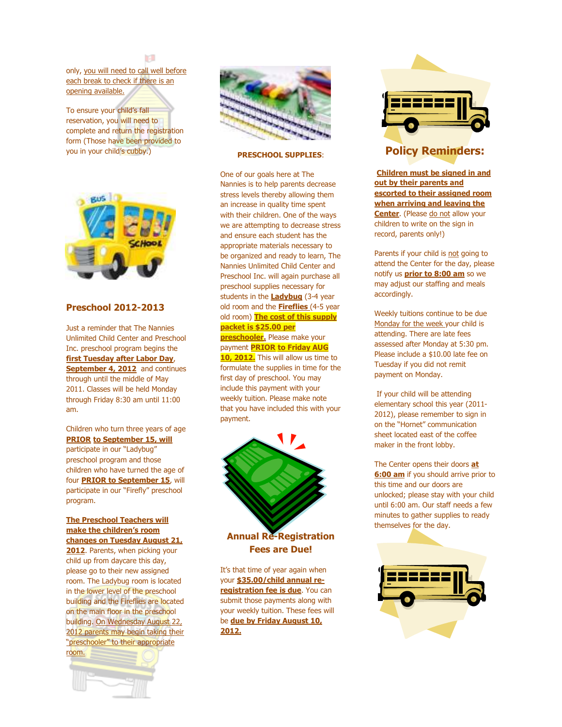m

only, you will need to call well before each break to check if there is an opening available.

To ensure your child's fall reservation, you will need to complete and return the registration form (Those have been provided to you in your child's cubby.)



## **Preschool 2012-2013**

Just a reminder that The Nannies Unlimited Child Center and Preschool Inc. preschool program begins the **first Tuesday after Labor Day**, **September 4, 2012** and continues through until the middle of May 2011. Classes will be held Monday through Friday 8:30 am until 11:00 am.

Children who turn three years of age **PRIOR to September 15, will**

participate in our "Ladybug" preschool program and those children who have turned the age of four **PRIOR to September 15**, will participate in our "Firefly" preschool program.

#### **The Preschool Teachers will make the children's room changes on Tuesday August 21,**

**2012**. Parents, when picking your child up from daycare this day, please go to their new assigned room. The Ladybug room is located in the lower level of the preschool building and the Fireflies are located on the main floor in the preschool building. On Wednesday August 22, 2012 parents may begin taking their "preschooler" to their appropriate room.





#### **PRESCHOOL SUPPLIES**:

One of our goals here at The Nannies is to help parents decrease stress levels thereby allowing them an increase in quality time spent with their children. One of the ways we are attempting to decrease stress and ensure each student has the appropriate materials necessary to be organized and ready to learn, The Nannies Unlimited Child Center and Preschool Inc. will again purchase all preschool supplies necessary for students in the **Ladybug** (3-4 year old room and the **Fireflies** (4-5 year old room) **The cost of this supply packet is \$25.00 per preschooler.** Please make your payment **PRIOR to Friday AUG 10, 2012.** This will allow us time to formulate the supplies in time for the first day of preschool. You may include this payment with your weekly tuition. Please make note that you have included this with your payment.



**Annual Re-Registration Fees are Due!** 

It's that time of year again when your **\$35.00/child annual reregistration fee is due**. You can submit those payments along with your weekly tuition. These fees will be **due by Friday August 10, 2012.**



## **Policy Reminders:**

**Children must be signed in and out by their parents and escorted to their assigned room when arriving and leaving the Center**. (Please do not allow your children to write on the sign in record, parents only!)

Parents if your child is not going to attend the Center for the day, please notify us **prior to 8:00 am** so we may adjust our staffing and meals accordingly.

Weekly tuitions continue to be due Monday for the week your child is attending. There are late fees assessed after Monday at 5:30 pm. Please include a \$10.00 late fee on Tuesday if you did not remit payment on Monday.

 If your child will be attending elementary school this year (2011- 2012), please remember to sign in on the "Hornet" communication sheet located east of the coffee maker in the front lobby.

The Center opens their doors **at 6:00 am** if you should arrive prior to this time and our doors are unlocked; please stay with your child until 6:00 am. Our staff needs a few minutes to gather supplies to ready themselves for the day.

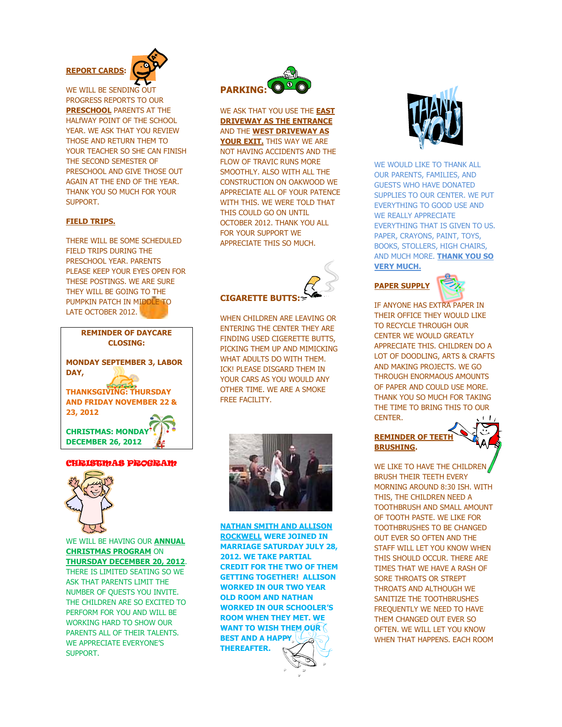

WE WILL BE SENDING OUT PROGRESS REPORTS TO OUR **PRESCHOOL** PARENTS AT THE HALfWAY POINT OF THE SCHOOL YEAR. WE ASK THAT YOU REVIEW THOSE AND RETURN THEM TO YOUR TEACHER SO SHE CAN FINISH THE SECOND SEMESTER OF PRESCHOOL AND GIVE THOSE OUT AGAIN AT THE END OF THE YEAR. THANK YOU SO MUCH FOR YOUR SUPPORT.

### **FIELD TRIPS.**

THERE WILL BE SOME SCHEDULED. FIELD TRIPS DURING THE PRESCHOOL YEAR. PARENTS PLEASE KEEP YOUR EYES OPEN FOR THESE POSTINGS. WE ARE SURE THEY WILL BE GOING TO THE PUMPKIN PATCH IN MIDDLE TO LATE OCTOBER 2012.



#### CHRISTMAS PROGRAM



WE WILL BE HAVING OUR **ANNUAL CHRISTMAS PROGRAM** ON **THURSDAY DECEMBER 20, 2012**. THERE IS LIMITED SEATING SO WE ASK THAT PARENTS LIMIT THE NUMBER OF QUESTS YOU INVITE. THE CHILDREN ARE SO EXCITED TO PERFORM FOR YOU AND WILL BE WORKING HARD TO SHOW OUR PARENTS ALL OF THEIR TALENTS. WE APPRECIATE EVERYONE'S SUPPORT.



WE ASK THAT YOU USE THE **EAST DRIVEWAY AS THE ENTRANCE** AND THE **WEST DRIVEWAY AS YOUR EXIT.** THIS WAY WE ARE NOT HAVING ACCIDENTS AND THE FLOW OF TRAVIC RUNS MORE SMOOTHLY. ALSO WITH ALL THE CONSTRUCTION ON OAKWOOD WE APPRECIATE ALL OF YOUR PATENCE WITH THIS. WE WERE TOLD THAT THIS COULD GO ON UNTIL OCTOBER 2012. THANK YOU ALL FOR YOUR SUPPORT WE APPRECIATE THIS SO MUCH.



## **CIGARETTE BUTTS:**

WHEN CHILDREN ARE LEAVING OR ENTERING THE CENTER THEY ARE FINDING USED CIGERETTE BUTTS, PICKING THEM UP AND MIMICKING WHAT ADULTS DO WITH THEM. ICK! PLEASE DISGARD THEM IN YOUR CARS AS YOU WOULD ANY OTHER TIME. WE ARE A SMOKE FREE FACILITY.



**NATHAN SMITH AND ALLISON ROCKWELL WERE JOINED IN MARRIAGE SATURDAY JULY 28, 2012. WE TAKE PARTIAL CREDIT FOR THE TWO OF THEM GETTING TOGETHER! ALLISON WORKED IN OUR TWO YEAR OLD ROOM AND NATHAN WORKED IN OUR SCHOOLER'S ROOM WHEN THEY MET. WE WANT TO WISH THEM OUR BEST AND A HAPPY THEREAFTER.** 



WE WOULD LIKE TO THANK ALL OUR PARENTS, FAMILIES, AND GUESTS WHO HAVE DONATED SUPPLIES TO OUR CENTER. WE PUT EVERYTHING TO GOOD USE AND WE REALLY APPRECIATE EVERYTHING THAT IS GIVEN TO US. PAPER, CRAYONS, PAINT, TOYS, BOOKS, STOLLERS, HIGH CHAIRS, AND MUCH MORE. **THANK YOU SO VERY MUCH.** 

## **PAPER SUPPLY**



IF ANYONE HAS EXTRA PAPER IN THEIR OFFICE THEY WOULD LIKE TO RECYCLE THROUGH OUR CENTER WE WOULD GREATLY APPRECIATE THIS. CHILDREN DO A LOT OF DOODLING, ARTS & CRAFTS AND MAKING PROJECTS. WE GO THROUGH ENORMAOUS AMOUNTS OF PAPER AND COULD USE MORE. THANK YOU SO MUCH FOR TAKING THE TIME TO BRING THIS TO OUR **CENTER** 

## **REMINDER OF TEETH BRUSHING.**

WE LIKE TO HAVE THE CHILDREN BRUSH THEIR TEETH EVERY MORNING AROUND 8:30 ISH. WITH THIS, THE CHILDREN NEED A TOOTHBRUSH AND SMALL AMOUNT OF TOOTH PASTE. WE LIKE FOR TOOTHBRUSHES TO BE CHANGED OUT EVER SO OFTEN AND THE STAFF WILL LET YOU KNOW WHEN THIS SHOULD OCCUR. THERE ARE TIMES THAT WE HAVE A RASH OF SORE THROATS OR STREPT THROATS AND ALTHOUGH WE SANITIZE THE TOOTHBRUSHES FREQUENTLY WE NEED TO HAVE THEM CHANGED OUT EVER SO OFTEN. WE WILL LET YOU KNOW WHEN THAT HAPPENS. EACH ROOM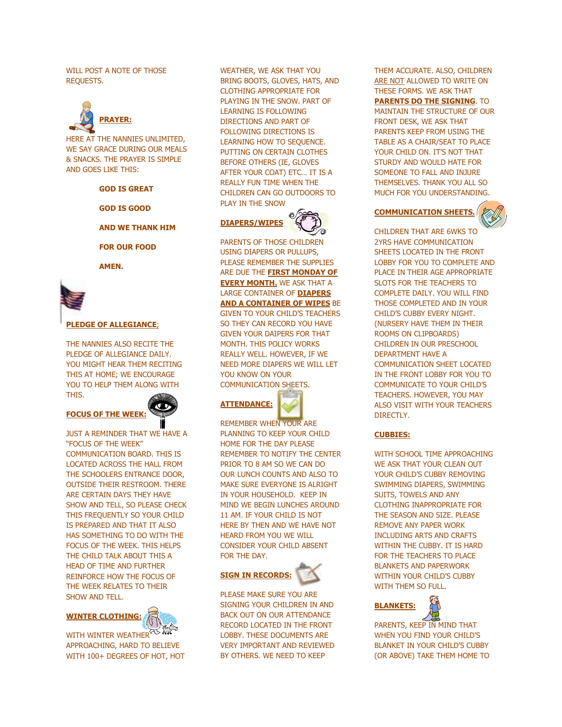WILL POST A NOTE OF THOSE REQUESTS.



HERE AT THE NANNIES UNLIMITED, WE SAY GRACE DURING OUR MEALS & SNACKS. THE PRAYER IS SIMPLE AND GOES LIKE THIS:

**GOD IS GREAT** 

 **GOD IS GOOD** 

 **AND WE THANK HIM** 

**FOR OUR FOOD** 

 **AMEN.** 



**PLEDGE OF ALLEGIANCE**;

THE NANNIES ALSO RECITE THE PLEDGE OF ALLEGIANCE DAILY. YOU MIGHT HEAR THEM RECITING THIS AT HOME; WE ENCOURAGE YOU TO HELP THEM ALONG WITH THIS.

## **FOCUS OF THE WEEK:**

JUST A REMINDER THAT WE HAVE A "FOCUS OF THE WEEK" COMMUNICATION BOARD. THIS IS LOCATED ACROSS THE HALL FROM THE SCHOOLERS ENTRANCE DOOR, OUTSIDE THEIR RESTROOM. THERE ARE CERTAIN DAYS THEY HAVE SHOW AND TELL, SO PLEASE CHECK THIS FREQUENTLY SO YOUR CHILD IS PREPARED AND THAT IT ALSO HAS SOMETHING TO DO WITH THE FOCUS OF THE WEEK. THIS HELPS THE CHILD TALK ABOUT THIS A HEAD OF TIME AND FURTHER REINFORCE HOW THE FOCUS OF THE WEEK RELATES TO THEIR SHOW AND TELL.



WITH WINTER WEATHER<sup>775</sup> APPROACHING, HARD TO BELIEVE WITH 100+ DEGREES OF HOT, HOT WEATHER, WE ASK THAT YOU BRING BOOTS, GLOVES, HATS, AND CLOTHING APPROPRIATE FOR PLAYING IN THE SNOW. PART OF LEARNING IS FOLLOWING DIRECTIONS AND PART OF FOLLOWING DIRECTIONS IS LEARNING HOW TO SEQUENCE. PUTTING ON CERTAIN CLOTHES BEFORE OTHERS (IE, GLOVES AFTER YOUR COAT) ETC… IT IS A REALLY FUN TIME WHEN THE CHILDREN CAN GO OUTDOORS TO PLAY IN THE SNOW

## **DIAPERS/WIPES**



PARENTS OF THOSE CHILDREN USING DIAPERS OR PULLUPS, PLEASE REMEMBER THE SUPPLIES ARE DUE THE **FIRST MONDAY OF EVERY MONTH.** WE ASK THAT A LARGE CONTAINER OF **DIAPERS AND A CONTAINER OF WIPES** BE GIVEN TO YOUR CHILD'S TEACHERS SO THEY CAN RECORD YOU HAVE GIVEN YOUR DAIPERS FOR THAT MONTH. THIS POLICY WORKS REALLY WELL. HOWEVER, IF WE NEED MORE DIAPERS WE WILL LET YOU KNOW ON YOUR COMMUNICATION SHEETS.

**ATTENDANCE:** 

REMEMBER WHEN YOUR ARE PLANNING TO KEEP YOUR CHILD HOME FOR THE DAY PLEASE REMEMBER TO NOTIFY THE CENTER PRIOR TO 8 AM SO WE CAN DO OUR LUNCH COUNTS AND ALSO TO MAKE SURE EVERYONE IS ALRIGHT IN YOUR HOUSEHOLD. KEEP IN MIND WE BEGIN LUNCHES AROUND 11 AM. IF YOUR CHILD IS NOT HERE BY THEN AND WE HAVE NOT HEARD FROM YOU WE WILL CONSIDER YOUR CHILD ABSENT FOR THE DAY.

## **SIGN IN RECORDS:**



PLEASE MAKE SURE YOU ARE SIGNING YOUR CHILDREN IN AND BACK OUT ON OUR ATTENDANCE RECORD LOCATED IN THE FRONT LOBBY. THESE DOCUMENTS ARE VERY IMPORTANT AND REVIEWED BY OTHERS. WE NEED TO KEEP

THEM ACCURATE. ALSO, CHILDREN ARE NOT ALLOWED TO WRITE ON THESE FORMS. WE ASK THAT **PARENTS DO THE SIGNING**. TO MAINTAIN THE STRUCTURE OF OUR FRONT DESK, WE ASK THAT PARENTS KEEP FROM USING THE TABLE AS A CHAIR/SEAT TO PLACE YOUR CHILD ON. IT'S NOT THAT STURDY AND WOULD HATE FOR SOMEONE TO FALL AND INJURE THEMSELVES. THANK YOU ALL SO MUCH FOR YOU UNDERSTANDING.

## **COMMUNICATION SHEETS.**



CHILDREN THAT ARE 6WKS TO 2YRS HAVE COMMUNICATION SHEETS LOCATED IN THE FRONT LOBBY FOR YOU TO COMPLETE AND PLACE IN THEIR AGE APPROPRIATE SLOTS FOR THE TEACHERS TO COMPLETE DAILY. YOU WILL FIND THOSE COMPLETED AND IN YOUR CHILD'S CUBBY EVERY NIGHT. (NURSERY HAVE THEM IN THEIR ROOMS ON CLIPBOARDS) CHILDREN IN OUR PRESCHOOL DEPARTMENT HAVE A COMMUNICATION SHEET LOCATED IN THE FRONT LOBBY FOR YOU TO COMMUNICATE TO YOUR CHILD'S TEACHERS. HOWEVER, YOU MAY ALSO VISIT WITH YOUR TEACHERS DIRECTLY.

#### **CUBBIES:**

WITH SCHOOL TIME APPROACHING WE ASK THAT YOUR CLEAN OUT YOUR CHILD'S CUBBY REMOVING SWIMMING DIAPERS, SWIMMING SUITS, TOWELS AND ANY CLOTHING INAPPROPRIATE FOR THE SEASON AND SIZE. PLEASE REMOVE ANY PAPER WORK INCLUDING ARTS AND CRAFTS WITHIN THE CUBBY. IT IS HARD FOR THE TEACHERS TO PLACE BLANKETS AND PAPERWORK WITHIN YOUR CHILD'S CUBBY WITH THEM SO FULL.



PARENTS, KEEP IN MIND THAT WHEN YOU FIND YOUR CHILD'S BLANKET IN YOUR CHILD'S CUBBY (OR ABOVE) TAKE THEM HOME TO